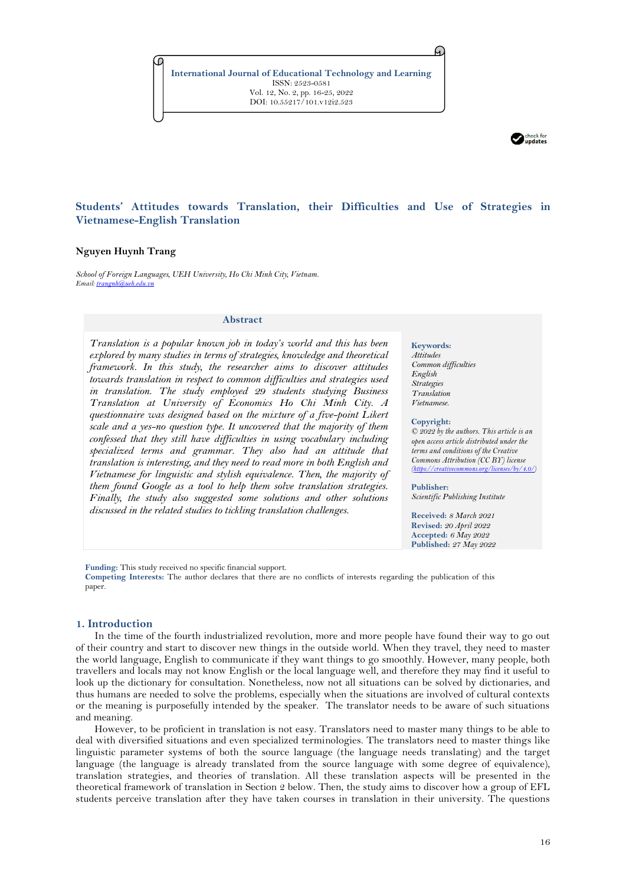**International Journal of Educational Technology and Learning** ISSN: 2523-0581 Vol. 12, No. 2, pp. 16-25, 2022 DOI: 10.55217/101.v12i2.523



# **Students' Attitudes towards Translation, their Difficulties and Use of Strategies in Vietnamese-English Translation**

# **Nguyen Huynh Trang**

*School of Foreign Languages, UEH University, Ho Chi Minh City, Vietnam. Email[: trangnh@ueh.edu.vn](mailto:trangnh@ueh.edu.vn)*

#### **Abstract**

*Translation is a popular known job in today's world and this has been explored by many studies in terms of strategies, knowledge and theoretical framework. In this study, the researcher aims to discover attitudes*  towards translation in respect to common difficulties and strategies used *in translation. The study employed 29 students studying Business Translation at University of Economics Ho Chi Minh City. A questionnaire was designed based on the mixture of a five-point Likert scale and a yes-no question type. It uncovered that the majority of them confessed that they still have difficulties in using vocabulary including specialized terms and grammar. They also had an attitude that translation is interesting, and they need to read more in both English and Vietnamese for linguistic and stylish equivalence. Then, the majority of them found Google as a tool to help them solve translation strategies. Finally, the study also suggested some solutions and other solutions discussed in the related studies to tickling translation challenges.*

#### **Keywords:**

A.

*Attitudes Common difficulties English Strategies Translation Vietnamese.*

#### **Copyright:**

*© 2022 by the authors. This article is an open access article distributed under the terms and conditions of the Creative Commons Attribution (CC BY) license [\(https://creativecommons.org/licenses/by/4.0/\)](https://creativecommons.org/licenses/by/4.0/)*

**Publisher:**  *Scientific Publishing Institute*

**Received:** *8 March 2021* **Revised:** *20 April 2022* **Accepted:** *6 May 2022* **Published:** *27 May 2022*

**Funding:** This study received no specific financial support.

**Competing Interests:** The author declares that there are no conflicts of interests regarding the publication of this paper.

## **1. Introduction**

In the time of the fourth industrialized revolution, more and more people have found their way to go out of their country and start to discover new things in the outside world. When they travel, they need to master the world language, English to communicate if they want things to go smoothly. However, many people, both travellers and locals may not know English or the local language well, and therefore they may find it useful to look up the dictionary for consultation. Nonetheless, now not all situations can be solved by dictionaries, and thus humans are needed to solve the problems, especially when the situations are involved of cultural contexts or the meaning is purposefully intended by the speaker. The translator needs to be aware of such situations and meaning.

However, to be proficient in translation is not easy. Translators need to master many things to be able to deal with diversified situations and even specialized terminologies. The translators need to master things like linguistic parameter systems of both the source language (the language needs translating) and the target language (the language is already translated from the source language with some degree of equivalence), translation strategies, and theories of translation. All these translation aspects will be presented in the theoretical framework of translation in Section 2 below. Then, the study aims to discover how a group of EFL students perceive translation after they have taken courses in translation in their university. The questions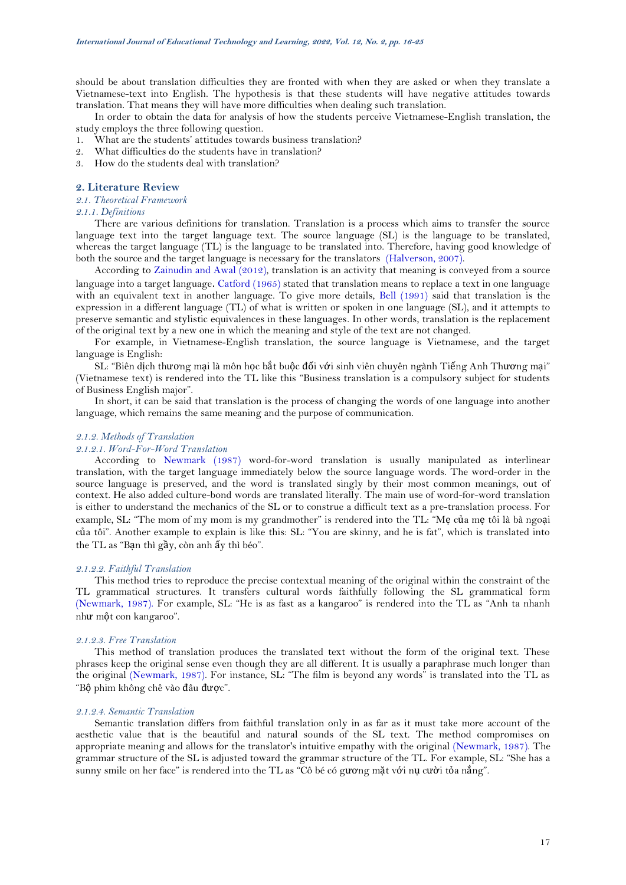should be about translation difficulties they are fronted with when they are asked or when they translate a Vietnamese-text into English. The hypothesis is that these students will have negative attitudes towards translation. That means they will have more difficulties when dealing such translation.

In order to obtain the data for analysis of how the students perceive Vietnamese-English translation, the study employs the three following question.

- 1. What are the students' attitudes towards business translation?
- 2. What difficulties do the students have in translation?
- 3. How do the students deal with translation?

## **2. Literature Review**

# *2.1. Theoretical Framework*

*2.1.1. Definitions* 

There are various definitions for translation. Translation is a process which aims to transfer the source language text into the target language text. The source language (SL) is the language to be translated, whereas the target language (TL) is the language to be translated into. Therefore, having good knowledge of both the source and the target language is necessary for the translators [\(Halverson, 2007\)](#page-9-0).

According to [Zainudin and Awal \(2012\)](#page-9-1), translation is an activity that meaning is conveyed from a source language into a target language. [Catford \(1965\)](#page-9-2) stated that translation means to replace a text in one language with an equivalent text in another language. To give more details, [Bell \(1991\)](#page-9-3) said that translation is the expression in a different language (TL) of what is written or spoken in one language (SL), and it attempts to preserve semantic and stylistic equivalences in these languages. In other words, translation is the replacement of the original text by a new one in which the meaning and style of the text are not changed.

For example, in Vietnamese-English translation, the source language is Vietnamese, and the target language is English:

SL: "Biên dịch thương mại là môn học bắt buộc đối với sinh viên chuyên ngành Tiếng Anh Thương mại" (Vietnamese text) is rendered into the TL like this "Business translation is a compulsory subject for students of Business English major".

In short, it can be said that translation is the process of changing the words of one language into another language, which remains the same meaning and the purpose of communication.

## *2.1.2. Methods of Translation*

# *2.1.2.1. Word-For-Word Translation*

According to [Newmark \(1987\)](#page-9-4) word-for-word translation is usually manipulated as interlinear translation, with the target language immediately below the source language words. The word-order in the source language is preserved, and the word is translated singly by their most common meanings, out of context. He also added culture-bond words are translated literally. The main use of word-for-word translation is either to understand the mechanics of the SL or to construe a difficult text as a pre-translation process. For example, SL: "The mom of my mom is my grandmother" is rendered into the TL: "Me của me tôi là bà ngoại của tôi". Another example to explain is like this: SL: "You are skinny, and he is fat", which is translated into the TL as "Bạn thì gầy, còn anh ấy thì béo".

# *2.1.2.2. Faithful Translation*

This method tries to reproduce the precise contextual meaning of the original within the constraint of the TL grammatical structures. It transfers cultural words faithfully following the SL grammatical form [\(Newmark, 1987\)](#page-9-4). For example, SL: "He is as fast as a kangaroo" is rendered into the TL as "Anh ta nhanh như một con kangaroo".

## *2.1.2.3. Free Translation*

This method of translation produces the translated text without the form of the original text. These phrases keep the original sense even though they are all different. It is usually a paraphrase much longer than the original [\(Newmark, 1987\)](#page-9-4). For instance, SL: "The film is beyond any words" is translated into the TL as "Bộ phim không chê vào đâu được".

## *2.1.2.4. Semantic Translation*

Semantic translation differs from faithful translation only in as far as it must take more account of the aesthetic value that is the beautiful and natural sounds of the SL text. The method compromises on appropriate meaning and allows for the translator's intuitive empathy with the original [\(Newmark, 1987\)](#page-9-4). The grammar structure of the SL is adjusted toward the grammar structure of the TL. For example, SL: "She has a sunny smile on her face" is rendered into the TL as "Cô bé có gương mặt với nụ cười tỏa nắng".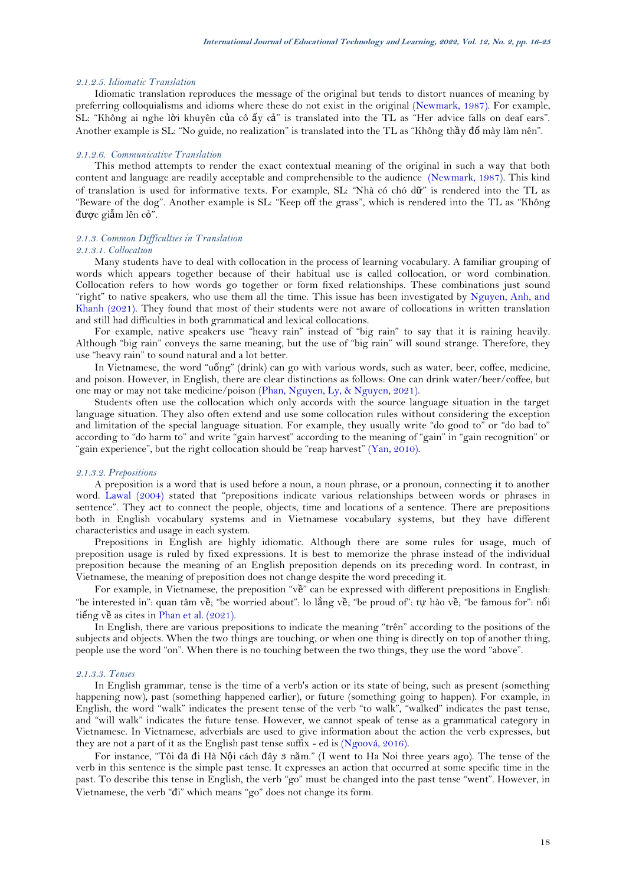## *2.1.2.5. Idiomatic Translation*

Idiomatic translation reproduces the message of the original but tends to distort nuances of meaning by preferring colloquialisms and idioms where these do not exist in the original [\(Newmark, 1987\)](#page-9-4). For example, SL: "Không ai nghe lời khuyên của cô ấy cả" is translated into the TL as "Her advice falls on deaf ears". Another example is SL: "No guide, no realization" is translated into the TL as "Không thầy đố mày làm nên".

## *2.1.2.6. Communicative Translation*

This method attempts to render the exact contextual meaning of the original in such a way that both content and language are readily acceptable and comprehensible to the audience [\(Newmark, 1987\)](#page-9-4). This kind of translation is used for informative texts. For example, SL: "Nhà có chó dữ" is rendered into the TL as "Beware of the dog". Another example is SL: "Keep off the grass", which is rendered into the TL as "Không được giẫm lên cỏ".

# *2.1.3. Common Difficulties in Translation*

# *2.1.3.1. Collocation*

Many students have to deal with collocation in the process of learning vocabulary. A familiar grouping of words which appears together because of their habitual use is called collocation, or word combination. Collocation refers to how words go together or form fixed relationships. These combinations just sound "right" to native speakers, who use them all the time. This issue has been investigated by [Nguyen, Anh, and](#page-9-5)  [Khanh \(2021\)](#page-9-5). They found that most of their students were not aware of collocations in written translation and still had difficulties in both grammatical and lexical collocations.

For example, native speakers use "heavy rain" instead of "big rain" to say that it is raining heavily. Although "big rain" conveys the same meaning, but the use of "big rain" will sound strange. Therefore, they use "heavy rain" to sound natural and a lot better.

In Vietnamese, the word "uống" (drink) can go with various words, such as water, beer, coffee, medicine, and poison. However, in English, there are clear distinctions as follows: One can drink water/beer/coffee, but one may or may not take medicine/poison [\(Phan, Nguyen, Ly, & Nguyen, 2021\)](#page-9-6).

Students often use the collocation which only accords with the source language situation in the target language situation. They also often extend and use some collocation rules without considering the exception and limitation of the special language situation. For example, they usually write "do good to" or "do bad to" according to "do harm to" and write "gain harvest" according to the meaning of "gain" in "gain recognition" or "gain experience", but the right collocation should be "reap harvest" [\(Yan, 2010\)](#page-9-7).

#### *2.1.3.2. Prepositions*

A preposition is a word that is used before a noun, a noun phrase, or a pronoun, connecting it to another word. [Lawal \(2004\)](#page-9-8) stated that "prepositions indicate various relationships between words or phrases in sentence". They act to connect the people, objects, time and locations of a sentence. There are prepositions both in English vocabulary systems and in Vietnamese vocabulary systems, but they have different characteristics and usage in each system.

Prepositions in English are highly idiomatic. Although there are some rules for usage, much of preposition usage is ruled by fixed expressions. It is best to memorize the phrase instead of the individual preposition because the meaning of an English preposition depends on its preceding word. In contrast, in Vietnamese, the meaning of preposition does not change despite the word preceding it.

For example, in Vietnamese, the preposition "về" can be expressed with different prepositions in English: "be interested in": quan tâm về; "be worried about": lo lắng về; "be proud of": tự hào về; "be famous for": nổi tiếng về as cites i[n Phan et al. \(2021\)](#page-9-6).

In English, there are various prepositions to indicate the meaning "trên" according to the positions of the subjects and objects. When the two things are touching, or when one thing is directly on top of another thing, people use the word "on". When there is no touching between the two things, they use the word "above".

### *2.1.3.3. Tenses*

In English grammar, tense is the time of a verb's action or its state of being, such as present (something happening now), past (something happened earlier), or future (something going to happen). For example, in English, the word "walk" indicates the present tense of the verb "to walk", "walked" indicates the past tense, and "will walk" indicates the future tense. However, we cannot speak of tense as a grammatical category in Vietnamese. In Vietnamese, adverbials are used to give information about the action the verb expresses, but they are not a part of it as the English past tense suffix - ed is [\(Ngoová, 2016\)](#page-9-9).

For instance, "Tôi đã đi Hà Nội cách đây 3 năm." (I went to Ha Noi three years ago). The tense of the verb in this sentence is the simple past tense. It expresses an action that occurred at some specific time in the past. To describe this tense in English, the verb "go" must be changed into the past tense "went". However, in Vietnamese, the verb "đi" which means "go" does not change its form.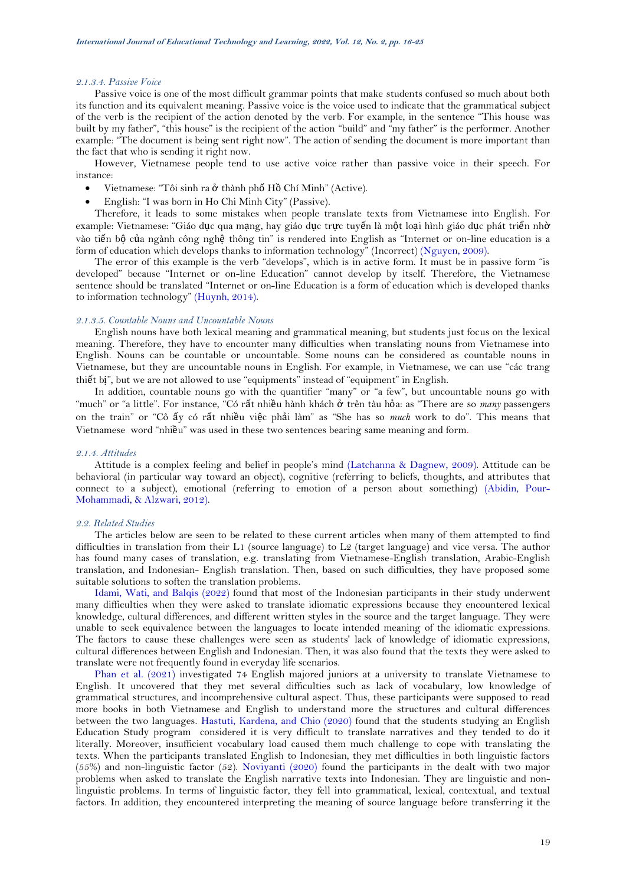## *2.1.3.4. Passive Voice*

Passive voice is one of the most difficult grammar points that make students confused so much about both its function and its equivalent meaning. Passive voice is the voice used to indicate that the grammatical subject of the verb is the recipient of the action denoted by the verb. For example, in the sentence "This house was built by my father", "this house" is the recipient of the action "build" and "my father" is the performer. Another example: "The document is being sent right now". The action of sending the document is more important than the fact that who is sending it right now.

However, Vietnamese people tend to use active voice rather than passive voice in their speech. For instance:

- Vietnamese: "Tôi sinh ra ở thành phố Hồ Chí Minh" (Active).
- English: "I was born in Ho Chi Minh City" (Passive).

Therefore, it leads to some mistakes when people translate texts from Vietnamese into English. For example: Vietnamese: "Giáo dục qua mạng, hay giáo dục trực tuyến là một loại hình giáo dục phát triển nhờ vào tiến bộ của ngành công nghệ thông tin" is rendered into English as "Internet or on-line education is a form of education which develops thanks to information technology" (Incorrect) [\(Nguyen, 2009\)](#page-9-10).

The error of this example is the verb "develops", which is in active form. It must be in passive form "is developed" because "Internet or on-line Education" cannot develop by itself. Therefore, the Vietnamese sentence should be translated "Internet or on-line Education is a form of education which is developed thanks to information technology" [\(Huynh, 2014\)](#page-9-11).

## *2.1.3.5. Countable Nouns and Uncountable Nouns*

English nouns have both lexical meaning and grammatical meaning, but students just focus on the lexical meaning. Therefore, they have to encounter many difficulties when translating nouns from Vietnamese into English. Nouns can be countable or uncountable. Some nouns can be considered as countable nouns in Vietnamese, but they are uncountable nouns in English. For example, in Vietnamese, we can use "các trang thiết bị", but we are not allowed to use "equipments" instead of "equipment" in English.

In addition, countable nouns go with the quantifier "many" or "a few", but uncountable nouns go with "much" or "a little". For instance, "Có rất nhiều hành khách ở trên tàu hỏa: as "There are so *many* passengers on the train" or "Cô ấy có rất nhiều việc phải làm" as "She has so *much* work to do". This means that Vietnamese word "nhiều" was used in these two sentences bearing same meaning and form.

#### *2.1.4. Attitudes*

Attitude is a complex feeling and belief in people's mind [\(Latchanna & Dagnew, 2009\)](#page-9-12). Attitude can be behavioral (in particular way toward an object), cognitive (referring to beliefs, thoughts, and attributes that connect to a subject), emotional (referring to emotion of a person about something) [\(Abidin, Pour-](#page-9-13)[Mohammadi, & Alzwari, 2012\)](#page-9-13).

## *2.2. Related Studies*

The articles below are seen to be related to these current articles when many of them attempted to find difficulties in translation from their L1 (source language) to L2 (target language) and vice versa. The author has found many cases of translation, e.g. translating from Vietnamese-English translation, Arabic-English translation, and Indonesian- English translation. Then, based on such difficulties, they have proposed some suitable solutions to soften the translation problems.

[Idami, Wati, and](#page-9-14) Balqis (2022) found that most of the Indonesian participants in their study underwent many difficulties when they were asked to translate idiomatic expressions because they encountered lexical knowledge, cultural differences, and different written styles in the source and the target language. They were unable to seek equivalence between the languages to locate intended meaning of the idiomatic expressions. The factors to cause these challenges were seen as students' lack of knowledge of idiomatic expressions, cultural differences between English and Indonesian. Then, it was also found that the texts they were asked to translate were not frequently found in everyday life scenarios.

[Phan et al. \(2021\)](#page-9-6) investigated 74 English majored juniors at a university to translate Vietnamese to English. It uncovered that they met several difficulties such as lack of vocabulary, low knowledge of grammatical structures, and incomprehensive cultural aspect. Thus, these participants were supposed to read more books in both Vietnamese and English to understand more the structures and cultural differences between the two languages. [Hastuti, Kardena, and Chio \(2020\)](#page-9-15) found that the students studying an English Education Study program considered it is very difficult to translate narratives and they tended to do it literally. Moreover, insufficient vocabulary load caused them much challenge to cope with translating the texts. When the participants translated English to Indonesian, they met difficulties in both linguistic factors (55%) and non-linguistic factor (52). [Noviyanti \(2020\)](#page-9-16) found the participants in the dealt with two major problems when asked to translate the English narrative texts into Indonesian. They are linguistic and nonlinguistic problems. In terms of linguistic factor, they fell into grammatical, lexical, contextual, and textual factors. In addition, they encountered interpreting the meaning of source language before transferring it the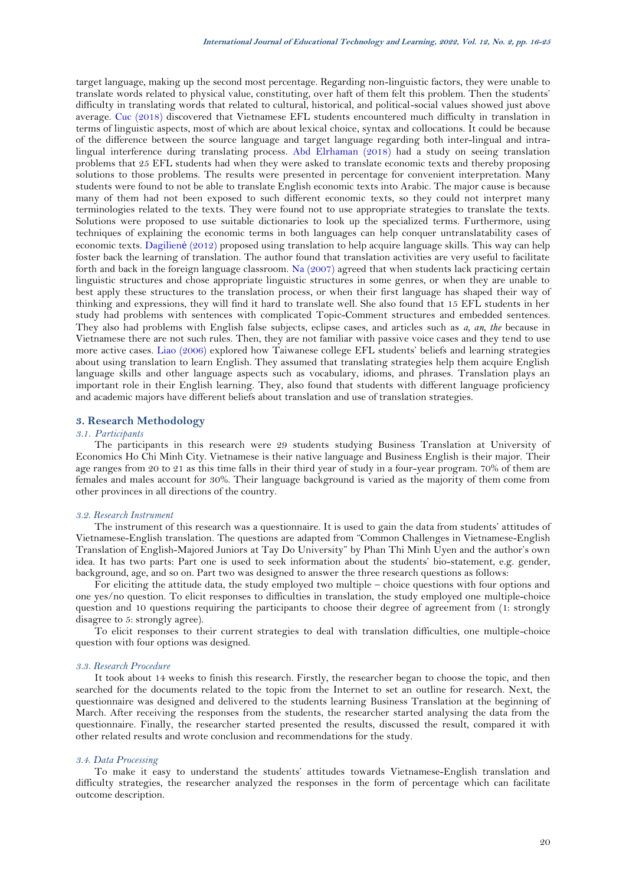target language, making up the second most percentage. Regarding non-linguistic factors, they were unable to translate words related to physical value, constituting, over haft of them felt this problem. Then the students' difficulty in translating words that related to cultural, historical, and political-social values showed just above average. [Cuc \(2018\)](#page-9-17) discovered that Vietnamese EFL students encountered much difficulty in translation in terms of linguistic aspects, most of which are about lexical choice, syntax and collocations. It could be because of the difference between the source language and target language regarding both inter-lingual and intralingual interference during translating process. [Abd Elrhaman \(2018\)](#page-9-18) had a study on seeing translation problems that 25 EFL students had when they were asked to translate economic texts and thereby proposing solutions to those problems. The results were presented in percentage for convenient interpretation. Many students were found to not be able to translate English economic texts into Arabic. The major cause is because many of them had not been exposed to such different economic texts, so they could not interpret many terminologies related to the texts. They were found not to use appropriate strategies to translate the texts. Solutions were proposed to use suitable dictionaries to look up the specialized terms. Furthermore, using techniques of explaining the economic terms in both languages can help conquer untranslatability cases of economic texts. [Dagilien](#page-9-19)ė (2012) proposed using translation to help acquire language skills. This way can help foster back the learning of translation. The author found that translation activities are very useful to facilitate forth and back in the foreign language classroom. [Na \(2007\)](#page-9-20) agreed that when students lack practicing certain linguistic structures and chose appropriate linguistic structures in some genres, or when they are unable to best apply these structures to the translation process, or when their first language has shaped their way of thinking and expressions, they will find it hard to translate well. She also found that 15 EFL students in her study had problems with sentences with complicated Topic-Comment structures and embedded sentences. They also had problems with English false subjects, eclipse cases, and articles such as *a, an, the* because in Vietnamese there are not such rules. Then, they are not familiar with passive voice cases and they tend to use more active cases. [Liao \(2006\)](#page-9-21) explored how Taiwanese college EFL students' beliefs and learning strategies about using translation to learn English. They assumed that translating strategies help them acquire English language skills and other language aspects such as vocabulary, idioms, and phrases. Translation plays an important role in their English learning. They, also found that students with different language proficiency and academic majors have different beliefs about translation and use of translation strategies.

# **3. Research Methodology**

# *3.1. Participants*

The participants in this research were 29 students studying Business Translation at University of Economics Ho Chi Minh City. Vietnamese is their native language and Business English is their major. Their age ranges from 20 to 21 as this time falls in their third year of study in a four-year program. 70% of them are females and males account for 30%. Their language background is varied as the majority of them come from other provinces in all directions of the country.

#### *3.2. Research Instrument*

The instrument of this research was a questionnaire. It is used to gain the data from students' attitudes of Vietnamese-English translation. The questions are adapted from "Common Challenges in Vietnamese-English Translation of English-Majored Juniors at Tay Do University" by Phan Thi Minh Uyen and the author's own idea. It has two parts: Part one is used to seek information about the students' bio-statement, e.g. gender, background, age, and so on. Part two was designed to answer the three research questions as follows:

For eliciting the attitude data, the study employed two multiple – choice questions with four options and one yes/no question. To elicit responses to difficulties in translation, the study employed one multiple-choice question and 10 questions requiring the participants to choose their degree of agreement from (1: strongly disagree to 5: strongly agree).

To elicit responses to their current strategies to deal with translation difficulties, one multiple-choice question with four options was designed.

## *3.3. Research Procedure*

It took about 14 weeks to finish this research. Firstly, the researcher began to choose the topic, and then searched for the documents related to the topic from the Internet to set an outline for research. Next, the questionnaire was designed and delivered to the students learning Business Translation at the beginning of March. After receiving the responses from the students, the researcher started analysing the data from the questionnaire. Finally, the researcher started presented the results, discussed the result, compared it with other related results and wrote conclusion and recommendations for the study.

#### *3.4. Data Processing*

To make it easy to understand the students' attitudes towards Vietnamese-English translation and difficulty strategies, the researcher analyzed the responses in the form of percentage which can facilitate outcome description.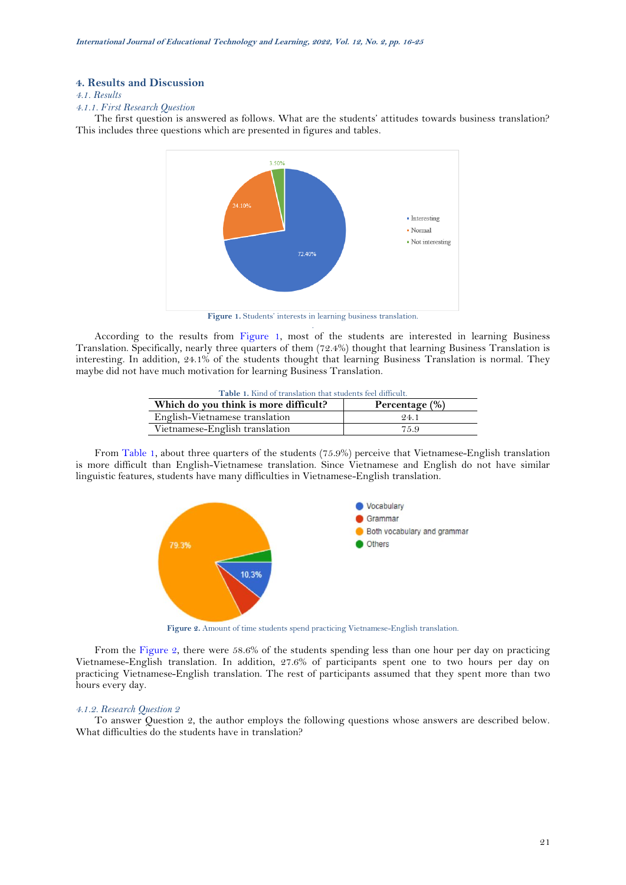## **4. Results and Discussion**

# *4.1. Results*

*4.1.1. First Research Question*

The first question is answered as follows. What are the students' attitudes towards business translation? This includes three questions which are presented in figures and tables.



**Figure 1.** Students' interests in learning business translation. .

<span id="page-5-1"></span><span id="page-5-0"></span>According to the results from [Figure 1,](#page-5-0) most of the students are interested in learning Business Translation. Specifically, nearly three quarters of them (72.4%) thought that learning Business Translation is interesting. In addition, 24.1% of the students thought that learning Business Translation is normal. They maybe did not have much motivation for learning Business Translation.

| Table 1. Kind of translation that students feel difficult. |      |  |  |  |  |
|------------------------------------------------------------|------|--|--|--|--|
| Which do you think is more difficult?<br>Percentage (%)    |      |  |  |  |  |
| English-Vietnamese translation                             | 94.1 |  |  |  |  |
| Vietnamese-English translation                             | 75.9 |  |  |  |  |

From [Table 1,](#page-5-1) about three quarters of the students (75.9%) perceive that Vietnamese-English translation is more difficult than English-Vietnamese translation. Since Vietnamese and English do not have similar linguistic features, students have many difficulties in Vietnamese-English translation.



**Figure 2.** Amount of time students spend practicing Vietnamese-English translation.

<span id="page-5-2"></span>From the [Figure 2,](#page-5-2) there were 58.6% of the students spending less than one hour per day on practicing Vietnamese-English translation. In addition, 27.6% of participants spent one to two hours per day on practicing Vietnamese-English translation. The rest of participants assumed that they spent more than two hours every day.

### *4.1.2. Research Question 2*

To answer Question 2, the author employs the following questions whose answers are described below. What difficulties do the students have in translation?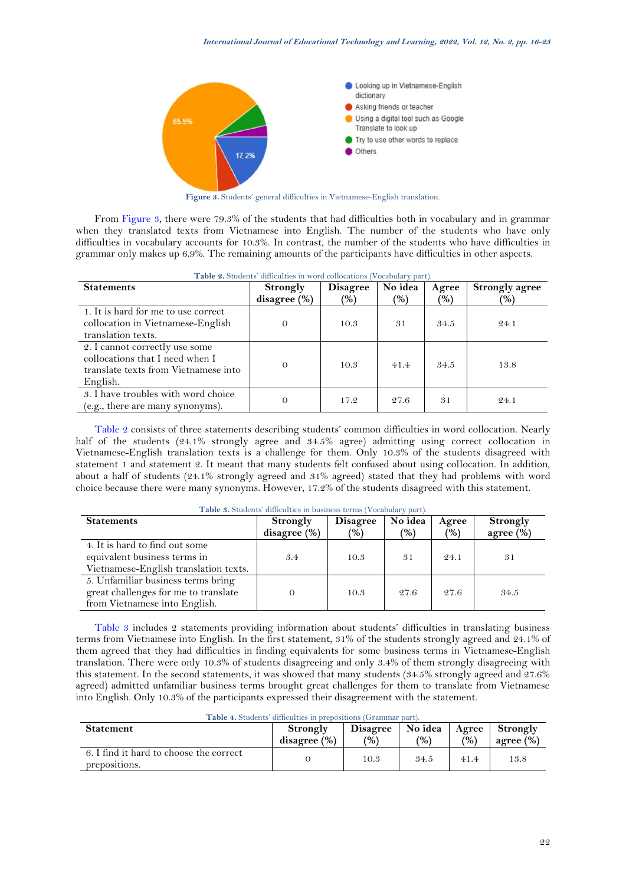

**Figure 3.** Students' general difficulties in Vietnamese-English translation.

<span id="page-6-0"></span>From [Figure 3,](#page-6-0) there were 79.3% of the students that had difficulties both in vocabulary and in grammar when they translated texts from Vietnamese into English. The number of the students who have only difficulties in vocabulary accounts for 10.3%. In contrast, the number of the students who have difficulties in grammar only makes up 6.9%. The remaining amounts of the participants have difficulties in other aspects.

<span id="page-6-1"></span>

| Table 2. Students' difficulties in word collocations (Vocabulary part).                                               |                             |                        |                          |                        |                                        |  |  |
|-----------------------------------------------------------------------------------------------------------------------|-----------------------------|------------------------|--------------------------|------------------------|----------------------------------------|--|--|
| <b>Statements</b>                                                                                                     | Strongly<br>disagree $(\%)$ | <b>Disagree</b><br>(9) | No idea<br>$\frac{9}{6}$ | Agree<br>$\frac{9}{6}$ | <b>Strongly agree</b><br>$\frac{9}{6}$ |  |  |
| 1. It is hard for me to use correct<br>collocation in Vietnamese-English<br>translation texts.                        | $\Omega$                    | 10.3                   | 31                       | 34.5                   | 24.1                                   |  |  |
| 2. I cannot correctly use some<br>collocations that I need when I<br>translate texts from Vietnamese into<br>English. | $\Omega$                    | 10.3                   | 41.4                     | 34.5                   | 13.8                                   |  |  |
| 3. I have troubles with word choice<br>(e.g., there are many synonyms).                                               | $\Omega$                    | 17.2                   | 27.6                     | 31                     | 24.1                                   |  |  |

[Table 2](#page-6-1) consists of three statements describing students' common difficulties in word collocation. Nearly half of the students (24.1% strongly agree and 34.5% agree) admitting using correct collocation in Vietnamese-English translation texts is a challenge for them. Only 10.3% of the students disagreed with statement 1 and statement 2. It meant that many students felt confused about using collocation. In addition, about a half of students (24.1% strongly agreed and 31% agreed) stated that they had problems with word choice because there were many synonyms. However, 17.2% of the students disagreed with this statement.

<span id="page-6-2"></span>

| <b>Statements</b>                                                                                           | Strongly<br>disagree $(\%)$ | <b>Disagree</b><br>(%) | No idea<br>(9) | Agree<br>(%) | <b>Strongly</b><br>agree $(\%)$ |
|-------------------------------------------------------------------------------------------------------------|-----------------------------|------------------------|----------------|--------------|---------------------------------|
| 4. It is hard to find out some<br>equivalent business terms in<br>Vietnamese-English translation texts.     | 3.4                         | 10.3                   | 31             | 24.1         | 31                              |
| 5. Unfamiliar business terms bring<br>great challenges for me to translate<br>from Vietnamese into English. |                             | 10.3                   | 27.6           | 27.6         | 34.5                            |

**Table 3.** Students' difficulties in business terms (Vocabulary part).

[Table 3](#page-6-2) includes 2 statements providing information about students' difficulties in translating business terms from Vietnamese into English. In the first statement, 31% of the students strongly agreed and 24.1% of them agreed that they had difficulties in finding equivalents for some business terms in Vietnamese-English translation. There were only 10.3% of students disagreeing and only 3.4% of them strongly disagreeing with this statement. In the second statements, it was showed that many students (34.5% strongly agreed and 27.6% agreed) admitted unfamiliar business terms brought great challenges for them to translate from Vietnamese into English. Only 10.3% of the participants expressed their disagreement with the statement.

<span id="page-6-3"></span>

| <b>Table 4.</b> Students difficulties in prepositions (Orammar part). |                          |                                  |                            |                        |                          |  |  |
|-----------------------------------------------------------------------|--------------------------|----------------------------------|----------------------------|------------------------|--------------------------|--|--|
| <b>Statement</b>                                                      | Strongly<br>disagree (%) | <b>Disagree</b><br>$\frac{1}{2}$ | No idea  <br>$\frac{9}{6}$ | Agree<br>$\frac{1}{2}$ | Strongly<br>agree $(\%)$ |  |  |
| 6. I find it hard to choose the correct<br>prepositions.              |                          | 10.3                             | 34.5                       | 41.4                   | 13.8                     |  |  |

**Table 4.** Students' difficulties in prepositions (Grammar part).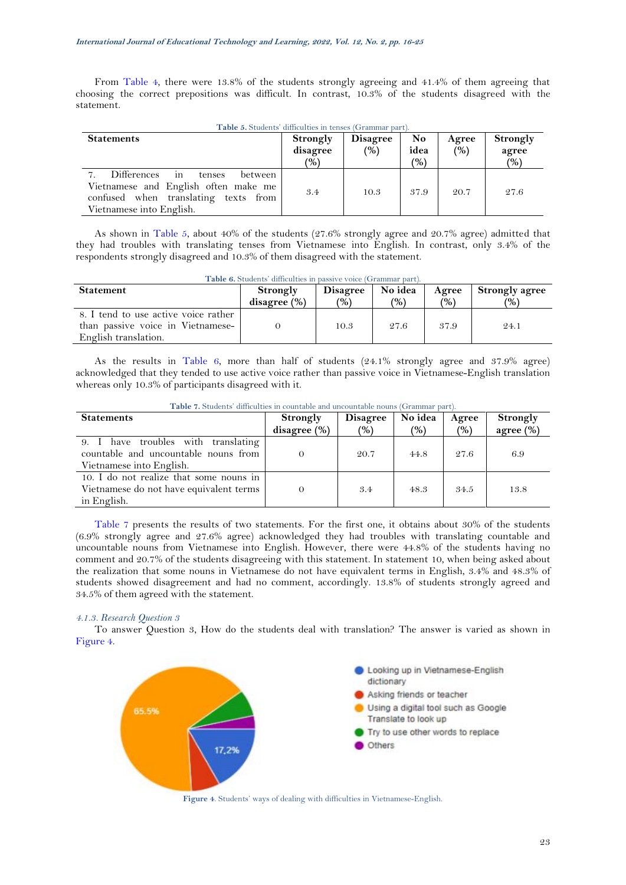From [Table 4,](#page-6-3) there were 13.8% of the students strongly agreeing and 41.4% of them agreeing that choosing the correct prepositions was difficult. In contrast, 10.3% of the students disagreed with the statement.

<span id="page-7-0"></span>

| <b>Table 3.</b> Magnetics anticatures in actives (Ortaining Darc).                                                                                |                                       |                        |                                         |              |                          |  |  |  |
|---------------------------------------------------------------------------------------------------------------------------------------------------|---------------------------------------|------------------------|-----------------------------------------|--------------|--------------------------|--|--|--|
| <b>Statements</b>                                                                                                                                 | Strongly<br>disagree<br>$\frac{9}{0}$ | <b>Disagree</b><br>(%) | N <sub>o</sub><br>idea<br>$\frac{1}{2}$ | Agree<br>(%) | Strongly<br>agree<br>(%) |  |  |  |
| Differences<br>m<br>between<br>tenses<br>Vietnamese and English often make me<br>confused when translating texts from<br>Vietnamese into English. | 3.4                                   | 10.3                   | 37.9                                    | 20.7         | 27.6                     |  |  |  |

**Table 5.** Students' difficulties in tenses (Grammar part).

As shown in [Table 5,](#page-7-0) about 40% of the students (27.6% strongly agree and 20.7% agree) admitted that they had troubles with translating tenses from Vietnamese into English. In contrast, only 3.4% of the respondents strongly disagreed and 10.3% of them disagreed with the statement.

<span id="page-7-1"></span>

| Table 6. Students' difficulties in passive voice (Grammar part).          |                 |                 |         |               |                       |  |  |
|---------------------------------------------------------------------------|-----------------|-----------------|---------|---------------|-----------------------|--|--|
| <b>Statement</b>                                                          | Strongly        | <b>Disagree</b> | No idea | Agree         | <b>Strongly agree</b> |  |  |
|                                                                           | disagree $(\%)$ | (%)             | (%)     | $\frac{9}{6}$ | (%)                   |  |  |
| 8. I tend to use active voice rather<br>than passive voice in Vietnamese- |                 | 10.3            | 27.6    | 37.9          | 24.1                  |  |  |
| English translation.                                                      |                 |                 |         |               |                       |  |  |

As the results in [Table 6,](#page-7-1) more than half of students (24.1% strongly agree and 37.9% agree) acknowledged that they tended to use active voice rather than passive voice in Vietnamese-English translation whereas only 10.3% of participants disagreed with it.

<span id="page-7-2"></span>

| <b>Table 7.</b> Students' difficulties in countable and uncountable nouns (Grammar part).<br><b>Statements</b> | Strongly<br>disagree $(\%)$ | <b>Disagree</b><br>(%) | No idea<br>(%) | Agree<br>(%) | <b>Strongly</b><br>agree $(\%)$ |
|----------------------------------------------------------------------------------------------------------------|-----------------------------|------------------------|----------------|--------------|---------------------------------|
| 9. I have troubles with translating<br>countable and uncountable nouns from<br>Vietnamese into English.        |                             | 20.7                   | 44.8           | 27.6         | 6.9                             |
| 10. I do not realize that some nouns in<br>Vietnamese do not have equivalent terms<br>in English.              |                             | 3.4                    | 48.3           | 34.5         | 13.8                            |

Table 7. Students' difficulties in countable and uncountable nouns (Gr

[Table 7](#page-7-2) presents the results of two statements. For the first one, it obtains about 30% of the students (6.9% strongly agree and 27.6% agree) acknowledged they had troubles with translating countable and uncountable nouns from Vietnamese into English. However, there were 44.8% of the students having no comment and 20.7% of the students disagreeing with this statement. In statement 10, when being asked about the realization that some nouns in Vietnamese do not have equivalent terms in English, 3.4% and 48.3% of students showed disagreement and had no comment, accordingly. 13.8% of students strongly agreed and 34.5% of them agreed with the statement.

## *4.1.3. Research Question 3*

To answer Question 3, How do the students deal with translation? The answer is varied as shown in [Figure 4.](#page-7-3)



<span id="page-7-3"></span>**Figure 4**. Students' ways of dealing with difficulties in Vietnamese-English.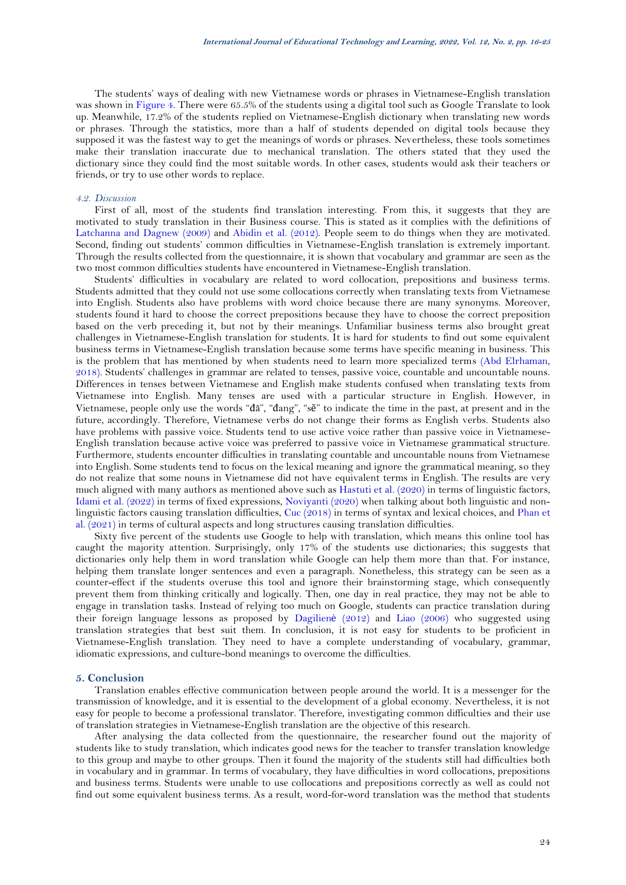The students' ways of dealing with new Vietnamese words or phrases in Vietnamese-English translation was shown in [Figure 4.](#page-7-3) There were 65.5% of the students using a digital tool such as Google Translate to look up. Meanwhile, 17.2% of the students replied on Vietnamese-English dictionary when translating new words or phrases. Through the statistics, more than a half of students depended on digital tools because they supposed it was the fastest way to get the meanings of words or phrases. Nevertheless, these tools sometimes make their translation inaccurate due to mechanical translation. The others stated that they used the dictionary since they could find the most suitable words. In other cases, students would ask their teachers or friends, or try to use other words to replace.

#### *4.2. Discussion*

First of all, most of the students find translation interesting. From this, it suggests that they are motivated to study translation in their Business course. This is stated as it complies with the definitions of [Latchanna and Dagnew \(2009\)](#page-9-12) and [Abidin et al. \(2012\)](#page-9-13). People seem to do things when they are motivated. Second, finding out students' common difficulties in Vietnamese-English translation is extremely important. Through the results collected from the questionnaire, it is shown that vocabulary and grammar are seen as the two most common difficulties students have encountered in Vietnamese-English translation.

Students' difficulties in vocabulary are related to word collocation, prepositions and business terms. Students admitted that they could not use some collocations correctly when translating texts from Vietnamese into English. Students also have problems with word choice because there are many synonyms. Moreover, students found it hard to choose the correct prepositions because they have to choose the correct preposition based on the verb preceding it, but not by their meanings. Unfamiliar business terms also brought great challenges in Vietnamese-English translation for students. It is hard for students to find out some equivalent business terms in Vietnamese-English translation because some terms have specific meaning in business. This is the problem that has mentioned by when students need to learn more specialized terms [\(Abd Elrhaman,](#page-9-18)  [2018\)](#page-9-18). Students' challenges in grammar are related to tenses, passive voice, countable and uncountable nouns. Differences in tenses between Vietnamese and English make students confused when translating texts from Vietnamese into English. Many tenses are used with a particular structure in English. However, in Vietnamese, people only use the words "đã", "đang", "sẽ" to indicate the time in the past, at present and in the future, accordingly. Therefore, Vietnamese verbs do not change their forms as English verbs. Students also have problems with passive voice. Students tend to use active voice rather than passive voice in Vietnamese-English translation because active voice was preferred to passive voice in Vietnamese grammatical structure. Furthermore, students encounter difficulties in translating countable and uncountable nouns from Vietnamese into English. Some students tend to focus on the lexical meaning and ignore the grammatical meaning, so they do not realize that some nouns in Vietnamese did not have equivalent terms in English. The results are very much aligned with many authors as mentioned above such as [Hastuti et al. \(2020\)](#page-9-15) in terms of linguistic factors, [Idami et al. \(2022\)](#page-9-14) in terms of fixed expressions, [Noviyanti \(2020\)](#page-9-16) when talking about both linguistic and nonlinguistic factors causing translation difficulties, [Cuc \(2018\)](#page-9-17) in terms of syntax and lexical choices, and [Phan et](#page-9-6)  [al. \(2021\)](#page-9-6) in terms of cultural aspects and long structures causing translation difficulties.

Sixty five percent of the students use Google to help with translation, which means this online tool has caught the majority attention. Surprisingly, only 17% of the students use dictionaries; this suggests that dictionaries only help them in word translation while Google can help them more than that. For instance, helping them translate longer sentences and even a paragraph. Nonetheless, this strategy can be seen as a counter-effect if the students overuse this tool and ignore their brainstorming stage, which consequently prevent them from thinking critically and logically. Then, one day in real practice, they may not be able to engage in translation tasks. Instead of relying too much on Google, students can practice translation during their foreign language lessons as proposed by [Dagilien](#page-9-19)ė (2012) and [Liao \(2006\)](#page-9-21) who suggested using translation strategies that best suit them. In conclusion, it is not easy for students to be proficient in Vietnamese-English translation. They need to have a complete understanding of vocabulary, grammar, idiomatic expressions, and culture-bond meanings to overcome the difficulties.

# **5. Conclusion**

Translation enables effective communication between people around the world. It is a messenger for the transmission of knowledge, and it is essential to the development of a global economy. Nevertheless, it is not easy for people to become a professional translator. Therefore, investigating common difficulties and their use of translation strategies in Vietnamese-English translation are the objective of this research.

After analysing the data collected from the questionnaire, the researcher found out the majority of students like to study translation, which indicates good news for the teacher to transfer translation knowledge to this group and maybe to other groups. Then it found the majority of the students still had difficulties both in vocabulary and in grammar. In terms of vocabulary, they have difficulties in word collocations, prepositions and business terms. Students were unable to use collocations and prepositions correctly as well as could not find out some equivalent business terms. As a result, word-for-word translation was the method that students